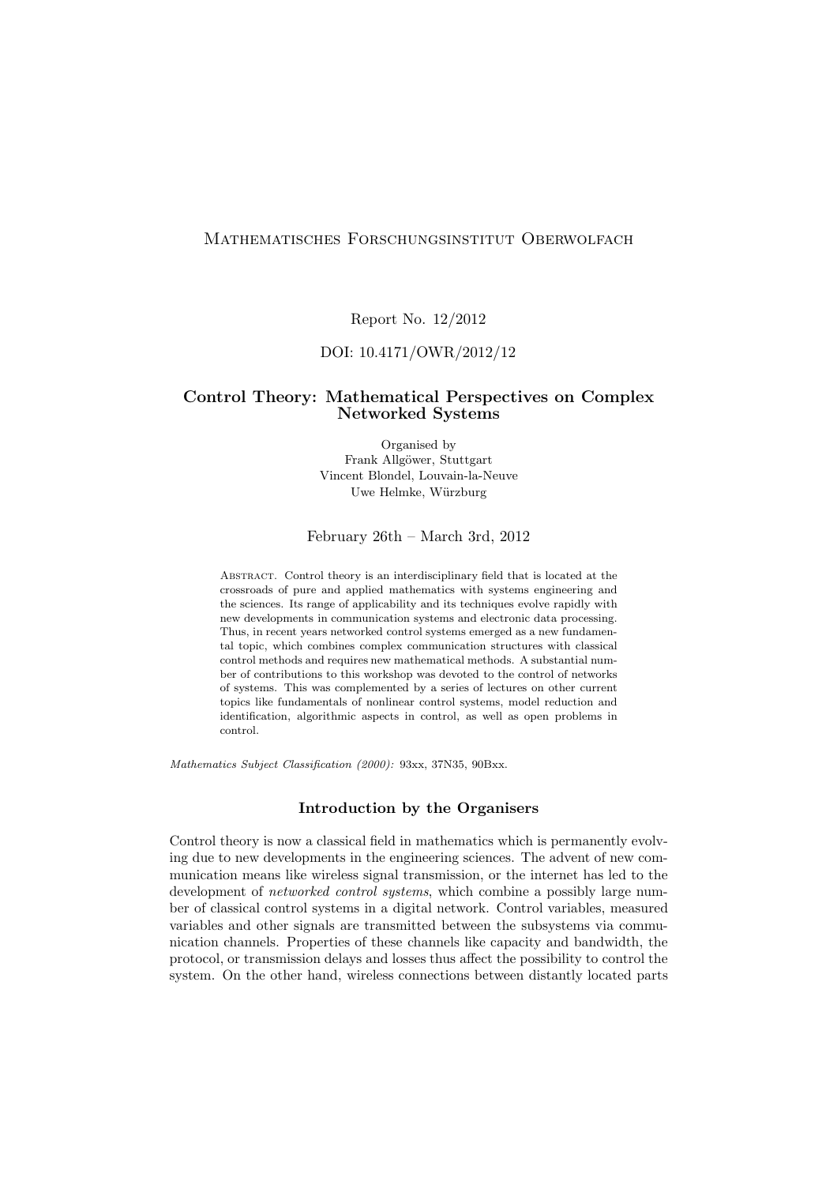## Mathematisches Forschungsinstitut Oberwolfach

Report No. 12/2012

## DOI: 10.4171/OWR/2012/12

## Control Theory: Mathematical Perspectives on Complex Networked Systems

Organised by Frank Allgöwer, Stuttgart Vincent Blondel, Louvain-la-Neuve Uwe Helmke, Würzburg

February 26th – March 3rd, 2012

Abstract. Control theory is an interdisciplinary field that is located at the crossroads of pure and applied mathematics with systems engineering and the sciences. Its range of applicability and its techniques evolve rapidly with new developments in communication systems and electronic data processing. Thus, in recent years networked control systems emerged as a new fundamental topic, which combines complex communication structures with classical control methods and requires new mathematical methods. A substantial number of contributions to this workshop was devoted to the control of networks of systems. This was complemented by a series of lectures on other current topics like fundamentals of nonlinear control systems, model reduction and identification, algorithmic aspects in control, as well as open problems in control.

Mathematics Subject Classification (2000): 93xx, 37N35, 90Bxx.

#### Introduction by the Organisers

Control theory is now a classical field in mathematics which is permanently evolving due to new developments in the engineering sciences. The advent of new communication means like wireless signal transmission, or the internet has led to the development of *networked control systems*, which combine a possibly large number of classical control systems in a digital network. Control variables, measured variables and other signals are transmitted between the subsystems via communication channels. Properties of these channels like capacity and bandwidth, the protocol, or transmission delays and losses thus affect the possibility to control the system. On the other hand, wireless connections between distantly located parts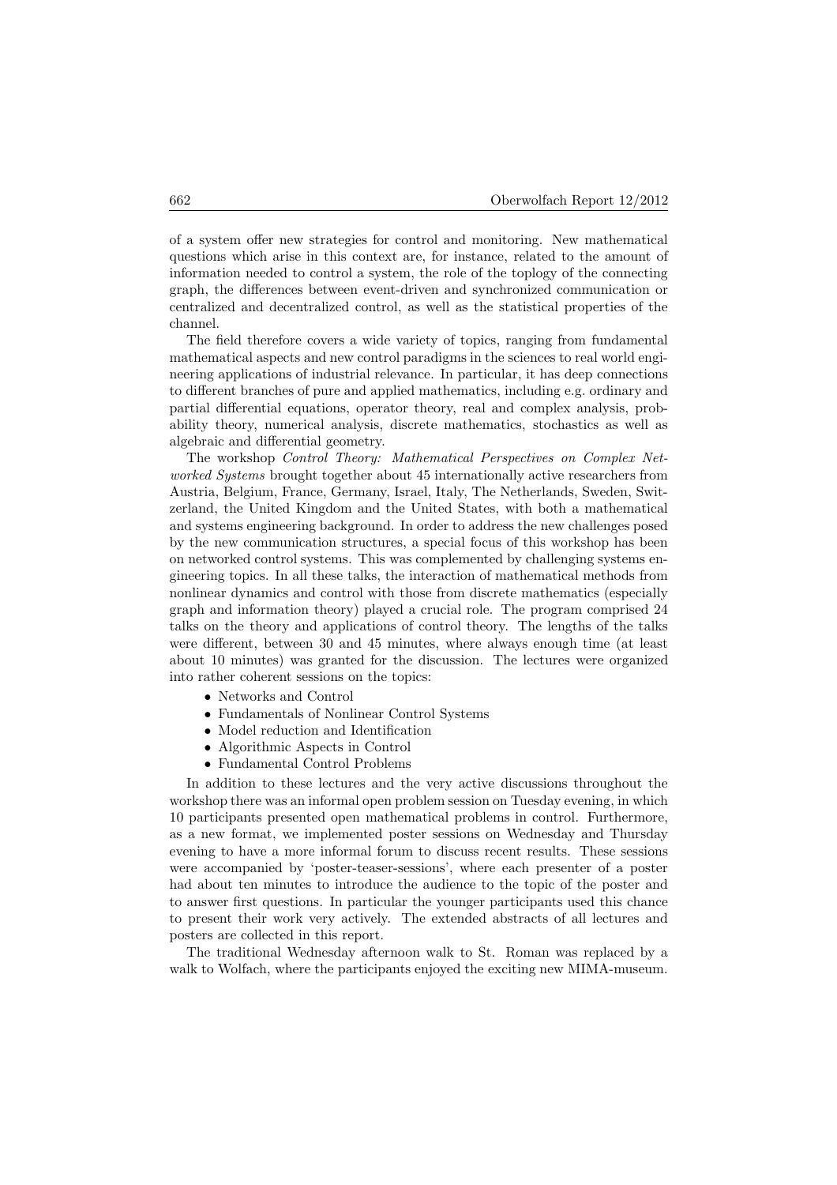of a system offer new strategies for control and monitoring. New mathematical questions which arise in this context are, for instance, related to the amount of information needed to control a system, the role of the toplogy of the connecting graph, the differences between event-driven and synchronized communication or centralized and decentralized control, as well as the statistical properties of the channel.

The field therefore covers a wide variety of topics, ranging from fundamental mathematical aspects and new control paradigms in the sciences to real world engineering applications of industrial relevance. In particular, it has deep connections to different branches of pure and applied mathematics, including e.g. ordinary and partial differential equations, operator theory, real and complex analysis, probability theory, numerical analysis, discrete mathematics, stochastics as well as algebraic and differential geometry.

The workshop Control Theory: Mathematical Perspectives on Complex Networked Systems brought together about 45 internationally active researchers from Austria, Belgium, France, Germany, Israel, Italy, The Netherlands, Sweden, Switzerland, the United Kingdom and the United States, with both a mathematical and systems engineering background. In order to address the new challenges posed by the new communication structures, a special focus of this workshop has been on networked control systems. This was complemented by challenging systems engineering topics. In all these talks, the interaction of mathematical methods from nonlinear dynamics and control with those from discrete mathematics (especially graph and information theory) played a crucial role. The program comprised 24 talks on the theory and applications of control theory. The lengths of the talks were different, between 30 and 45 minutes, where always enough time (at least about 10 minutes) was granted for the discussion. The lectures were organized into rather coherent sessions on the topics:

- Networks and Control
- Fundamentals of Nonlinear Control Systems
- Model reduction and Identification
- Algorithmic Aspects in Control
- Fundamental Control Problems

In addition to these lectures and the very active discussions throughout the workshop there was an informal open problem session on Tuesday evening, in which 10 participants presented open mathematical problems in control. Furthermore, as a new format, we implemented poster sessions on Wednesday and Thursday evening to have a more informal forum to discuss recent results. These sessions were accompanied by 'poster-teaser-sessions', where each presenter of a poster had about ten minutes to introduce the audience to the topic of the poster and to answer first questions. In particular the younger participants used this chance to present their work very actively. The extended abstracts of all lectures and posters are collected in this report.

The traditional Wednesday afternoon walk to St. Roman was replaced by a walk to Wolfach, where the participants enjoyed the exciting new MIMA-museum.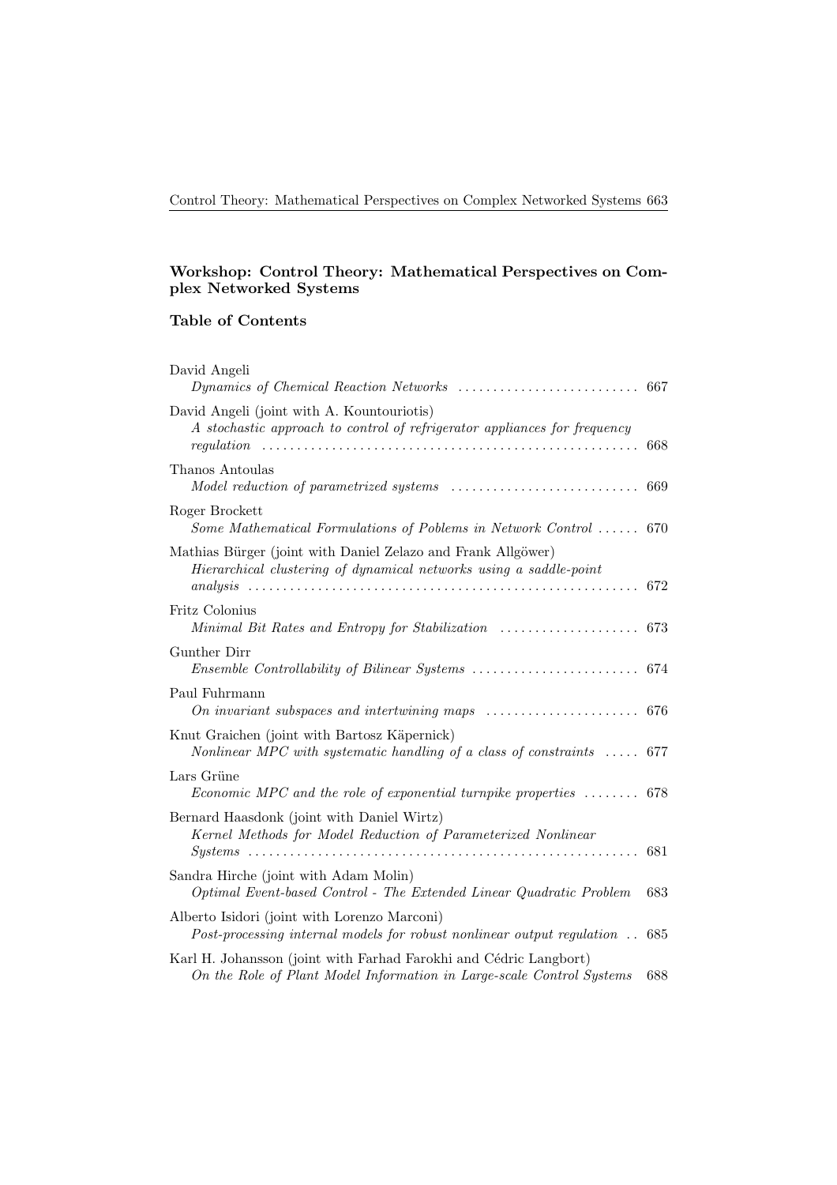## Workshop: Control Theory: Mathematical Perspectives on Complex Networked Systems

# Table of Contents

| David Angeli                                                                                                                                                                                               |     |
|------------------------------------------------------------------------------------------------------------------------------------------------------------------------------------------------------------|-----|
|                                                                                                                                                                                                            | 667 |
| David Angeli (joint with A. Kountouriotis)<br>A stochastic approach to control of refrigerator appliances for frequency<br>regulation                                                                      | 668 |
| Thanos Antoulas                                                                                                                                                                                            | 669 |
| Roger Brockett<br>Some Mathematical Formulations of Poblems in Network Control  670                                                                                                                        |     |
| Mathias Bürger (joint with Daniel Zelazo and Frank Allgöwer)<br>Hierarchical clustering of dynamical networks using a saddle-point                                                                         | 672 |
| Fritz Colonius                                                                                                                                                                                             |     |
| Gunther Dirr                                                                                                                                                                                               |     |
| Paul Fuhrmann<br>On invariant subspaces and intertwining maps $\ldots \ldots \ldots \ldots \ldots \ldots$ 676                                                                                              |     |
| Knut Graichen (joint with Bartosz Käpernick)<br>Nonlinear MPC with systematic handling of a class of constraints $\ldots$ .                                                                                | 677 |
| Lars Grüne<br>Economic MPC and the role of exponential turnpike properties $\ldots \ldots$ 678                                                                                                             |     |
| Bernard Haasdonk (joint with Daniel Wirtz)<br>Kernel Methods for Model Reduction of Parameterized Nonlinear<br>$\mathit{Systems}\ \dots \dots \dots \dots \dots \dots \dots \dots \dots \dots \dots \dots$ | 681 |
| Sandra Hirche (joint with Adam Molin)<br>Optimal Event-based Control - The Extended Linear Quadratic Problem                                                                                               | 683 |
| Alberto Isidori (joint with Lorenzo Marconi)<br>Post-processing internal models for robust nonlinear output regulation                                                                                     | 685 |
| Karl H. Johansson (joint with Farhad Farokhi and Cédric Langbort)<br>On the Role of Plant Model Information in Large-scale Control Systems                                                                 | 688 |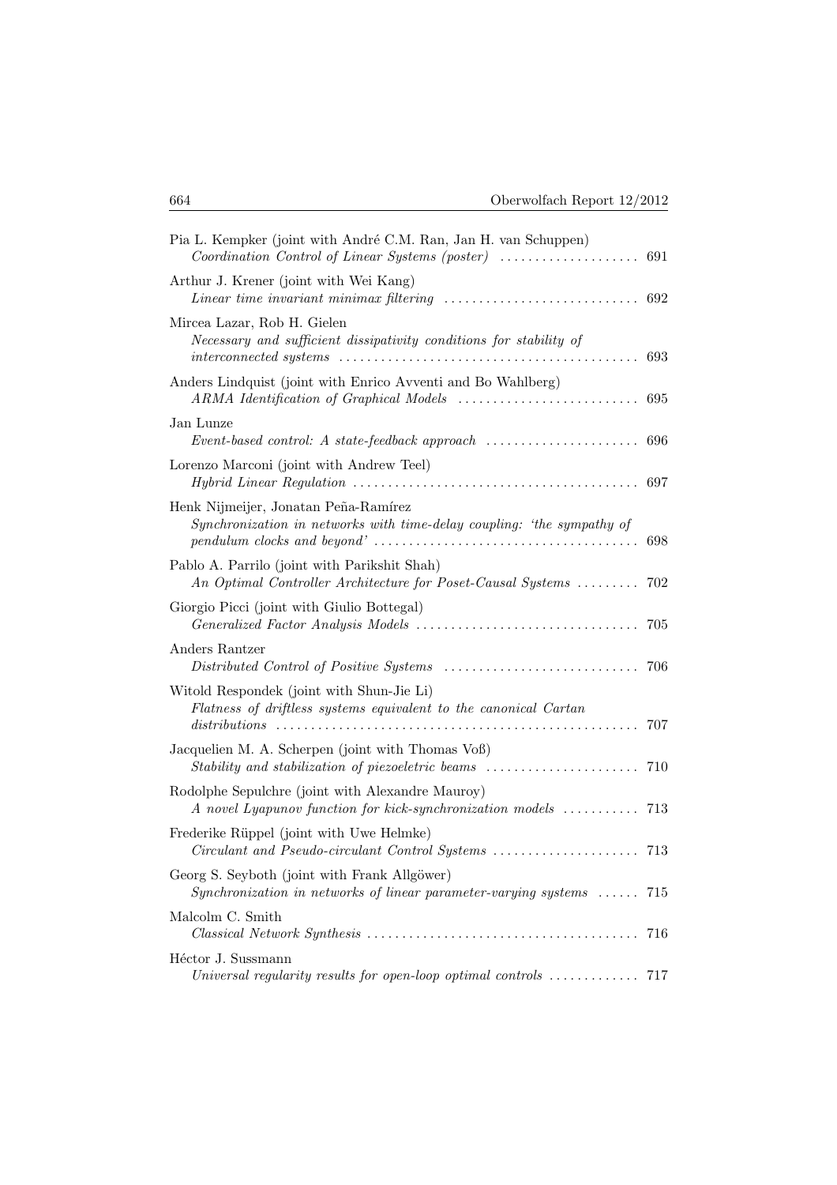| Pia L. Kempker (joint with André C.M. Ran, Jan H. van Schuppen)                                                                                                                                                                     | 691 |
|-------------------------------------------------------------------------------------------------------------------------------------------------------------------------------------------------------------------------------------|-----|
| Arthur J. Krener (joint with Wei Kang)<br><i>Linear time invariant minimax filtering</i> $\ldots \ldots \ldots \ldots \ldots \ldots \ldots \ldots$                                                                                  | 692 |
| Mircea Lazar, Rob H. Gielen<br>Necessary and sufficient dissipativity conditions for stability of                                                                                                                                   | 693 |
| Anders Lindquist (joint with Enrico Avventi and Bo Wahlberg)                                                                                                                                                                        | 695 |
| Jan Lunze                                                                                                                                                                                                                           |     |
| Lorenzo Marconi (joint with Andrew Teel)                                                                                                                                                                                            | 697 |
| Henk Nijmeijer, Jonatan Peña-Ramírez<br>Synchronization in networks with time-delay coupling: 'the sympathy of<br>$pendulum \; clocks \; and \; beyond' \; \dots \dots \dots \dots \dots \dots \dots \dots \dots \dots \dots \dots$ | 698 |
| Pablo A. Parrilo (joint with Parikshit Shah)<br>An Optimal Controller Architecture for Poset-Causal Systems                                                                                                                         | 702 |
| Giorgio Picci (joint with Giulio Bottegal)                                                                                                                                                                                          | 705 |
| Anders Rantzer                                                                                                                                                                                                                      | 706 |
| Witold Respondek (joint with Shun-Jie Li)<br>Flatness of driftless systems equivalent to the canonical Cartan<br>$distributions \dots \dots \dots \dots \dots \dots \dots \dots \dots$                                              | 707 |
| Jacquelien M. A. Scherpen (joint with Thomas Voß)<br>Stability and stabilization of piezoeletric beams                                                                                                                              | 710 |
| Rodolphe Sepulchre (joint with Alexandre Mauroy)<br>A novel Lyapunov function for kick-synchronization models                                                                                                                       | 713 |
| Frederike Rüppel (joint with Uwe Helmke)                                                                                                                                                                                            |     |
| Georg S. Seyboth (joint with Frank Allgöwer)<br>Synchronization in networks of linear parameter-varying systems $\ldots$ . 715                                                                                                      |     |
| Malcolm C. Smith                                                                                                                                                                                                                    | 716 |
| Héctor J. Sussmann<br>Universal regularity results for open-loop optimal controls $\ldots \ldots \ldots \ldots$ 717                                                                                                                 |     |